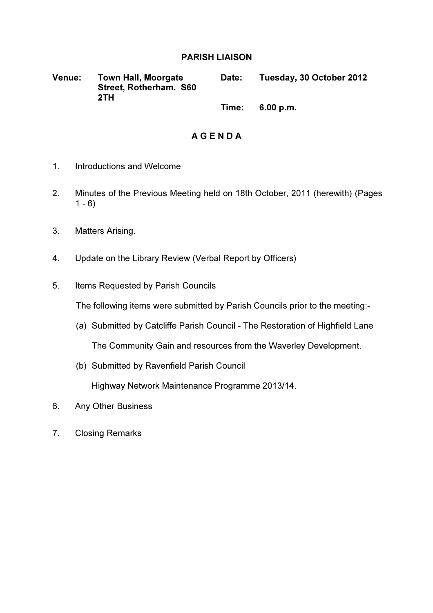## PARISH LIAISON

Venue: Town Hall, Moorgate Street, Rotherham. S60 2TH Date: Tuesday, 30 October 2012

Time: 6.00 p.m.

# A G E N D A

- 1. Introductions and Welcome
- 2. Minutes of the Previous Meeting held on 18th October, 2011 (herewith) (Pages  $1 - 6$
- 3. Matters Arising.
- 4. Update on the Library Review (Verbal Report by Officers)
- 5. Items Requested by Parish Councils

The following items were submitted by Parish Councils prior to the meeting:-

- (a) Submitted by Catcliffe Parish Council The Restoration of Highfield Lane The Community Gain and resources from the Waverley Development.
- (b) Submitted by Ravenfield Parish Council

Highway Network Maintenance Programme 2013/14.

- 6. Any Other Business
- 7. Closing Remarks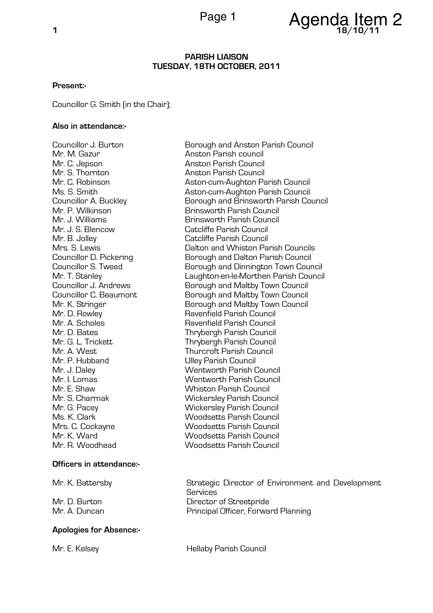

### PARISH LIAISON TUESDAY, 18TH OCTOBER, 2011

### Present:-

Councillor G. Smith (in the Chair);

### Also in attendance:-

Mr. C. Jepson Anston Parish Council Mr. P. Hubband Ulley Parish Council

#### Officers in attendance:-

### Apologies for Absence:-

Councillor J. Burton Borough and Anston Parish Council Anston Parish council Anston Parish Council Mr. C. Robinson **Aston-cum-Aughton Parish Council** Ms. S. Smith Aston-cum-Aughton Parish Council Councillor A. Buckley Borough and Brinsworth Parish Council Mr. P. Wilkinson Brinsworth Parish Council Brinsworth Parish Council Mr. J. S. Blencow Catcliffe Parish Council Mr. B. Jolley Catcliffe Parish Council Mrs. S. Lewis Dalton and Whiston Parish Councils Borough and Dalton Parish Council Councillor S. Tweed **Borough and Dinnington Town Council** Mr. T. Stanley Laughton-en-le-Morthen Parish Council Borough and Maltby Town Council Councillor C. Beaumont **Borough and Maltby Town Council** Mr. K. Stringer **Borough and Maltby Town Council** Mr. D. Rowley **Ravenfield Parish Council** Mr. A. Scholes Ravenfield Parish Council **Thrybergh Parish Council** Mr. G. L. Trickett Thrybergh Parish Council Mr. A. West **Thurcroft Parish Council** Mr. J. Daley Wentworth Parish Council Mr. I. Lomas Wentworth Parish Council Mr. E. Shaw Whiston Parish Council Mr. S. Charmak Wickersley Parish Council Mr. G. Pacey Wickersley Parish Council Ms. K. Clark Woodsetts Parish Council<br>Mrs. C. Cockavne Woodsetts Parish Council Mrs. C. Cockayne Woodsetts Parish Council<br>Mr K Ward Woodsetts Parish Council Mr. K. Ward<br>Mr. R. Woodhead Mr. B. Woodsetts Parish Council<br>Woodsetts Parish Council Woodsetts Parish Council

Mr. K. Battersby Strategic Director of Environment and Development **Services** Mr. D. Burton **Director of Streetpride** Mr. A. Duncan **Principal Officer, Forward Planning** 

Mr. E. Kelsey **Mr. E. Kelsey**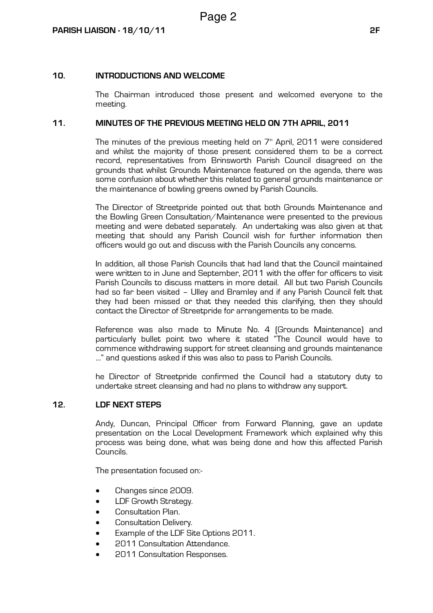## 10. INTRODUCTIONS AND WELCOME

The Chairman introduced those present and welcomed everyone to the meeting.

### 11. MINUTES OF THE PREVIOUS MEETING HELD ON 7TH APRIL, 2011

The minutes of the previous meeting held on  $7<sup>th</sup>$  April, 2011 were considered and whilst the majority of those present considered them to be a correct record, representatives from Brinsworth Parish Council disagreed on the grounds that whilst Grounds Maintenance featured on the agenda, there was some confusion about whether this related to general grounds maintenance or the maintenance of bowling greens owned by Parish Councils.

The Director of Streetpride pointed out that both Grounds Maintenance and the Bowling Green Consultation/Maintenance were presented to the previous meeting and were debated separately. An undertaking was also given at that meeting that should any Parish Council wish for further information then officers would go out and discuss with the Parish Councils any concerns.

In addition, all those Parish Councils that had land that the Council maintained were written to in June and September, 2011 with the offer for officers to visit Parish Councils to discuss matters in more detail. All but two Parish Councils had so far been visited – Ulley and Bramley and if any Parish Council felt that they had been missed or that they needed this clarifying, then they should contact the Director of Streetpride for arrangements to be made.

Reference was also made to Minute No. 4 (Grounds Maintenance) and particularly bullet point two where it stated "The Council would have to commence withdrawing support for street cleansing and grounds maintenance …" and questions asked if this was also to pass to Parish Councils.

he Director of Streetpride confirmed the Council had a statutory duty to undertake street cleansing and had no plans to withdraw any support.

### 12. LDF NEXT STEPS

Andy, Duncan, Principal Officer from Forward Planning, gave an update presentation on the Local Development Framework which explained why this process was being done, what was being done and how this affected Parish Councils.

The presentation focused on:-

- Changes since 2009.
- LDF Growth Strategy.
- Consultation Plan.
- Consultation Delivery.
- Example of the LDF Site Options 2011.
- 2011 Consultation Attendance.
- 2011 Consultation Responses.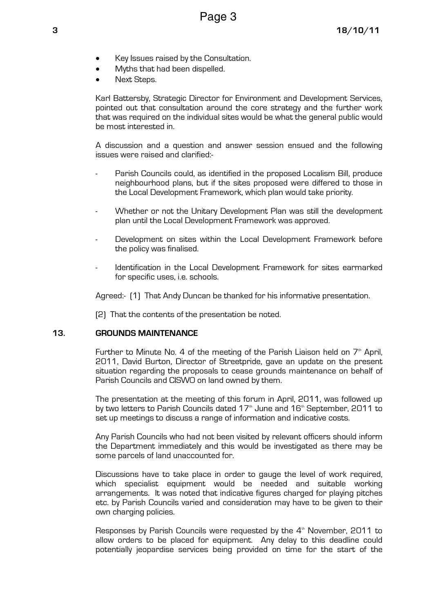- Key Issues raised by the Consultation.
- Myths that had been dispelled.
- Next Steps.

Karl Battersby, Strategic Director for Environment and Development Services, pointed out that consultation around the core strategy and the further work that was required on the individual sites would be what the general public would be most interested in.

A discussion and a question and answer session ensued and the following issues were raised and clarified:-

- Parish Councils could, as identified in the proposed Localism Bill, produce neighbourhood plans, but if the sites proposed were differed to those in the Local Development Framework, which plan would take priority.
- Whether or not the Unitary Development Plan was still the development plan until the Local Development Framework was approved.
- Development on sites within the Local Development Framework before the policy was finalised.
- Identification in the Local Development Framework for sites earmarked for specific uses, i.e. schools.

Agreed:- (1) That Andy Duncan be thanked for his informative presentation.

(2) That the contents of the presentation be noted.

### 13. GROUNDS MAINTENANCE

Further to Minute No. 4 of the meeting of the Parish Liaison held on  $7<sup>th</sup>$  April, 2011, David Burton, Director of Streetpride, gave an update on the present situation regarding the proposals to cease grounds maintenance on behalf of Parish Councils and CISWO on land owned by them.

The presentation at the meeting of this forum in April, 2011, was followed up by two letters to Parish Councils dated  $17<sup>th</sup>$  June and  $16<sup>th</sup>$  September, 2011 to set up meetings to discuss a range of information and indicative costs.

Any Parish Councils who had not been visited by relevant officers should inform the Department immediately and this would be investigated as there may be some parcels of land unaccounted for.

Discussions have to take place in order to gauge the level of work required, which specialist equipment would be needed and suitable working arrangements. It was noted that indicative figures charged for playing pitches etc. by Parish Councils varied and consideration may have to be given to their own charging policies.

Responses by Parish Councils were requested by the  $4<sup>th</sup>$  November, 2011 to allow orders to be placed for equipment. Any delay to this deadline could potentially jeopardise services being provided on time for the start of the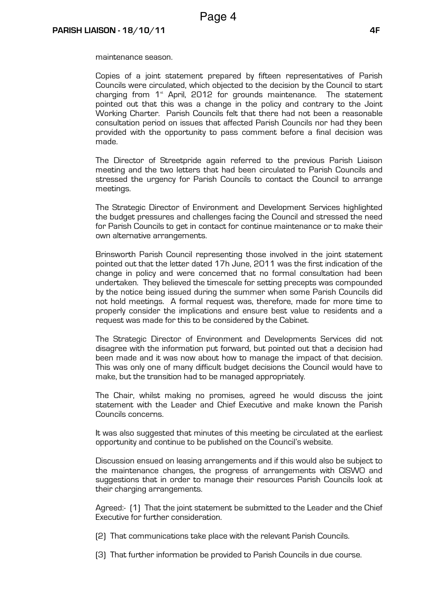maintenance season.

Copies of a joint statement prepared by fifteen representatives of Parish Councils were circulated, which objected to the decision by the Council to start charging from  $1<sup>*</sup>$  April, 2012 for grounds maintenance. The statement pointed out that this was a change in the policy and contrary to the Joint Working Charter. Parish Councils felt that there had not been a reasonable consultation period on issues that affected Parish Councils nor had they been provided with the opportunity to pass comment before a final decision was made.

The Director of Streetpride again referred to the previous Parish Liaison meeting and the two letters that had been circulated to Parish Councils and stressed the urgency for Parish Councils to contact the Council to arrange meetings.

The Strategic Director of Environment and Development Services highlighted the budget pressures and challenges facing the Council and stressed the need for Parish Councils to get in contact for continue maintenance or to make their own alternative arrangements.

Brinsworth Parish Council representing those involved in the joint statement pointed out that the letter dated 17h June, 2011 was the first indication of the change in policy and were concerned that no formal consultation had been undertaken. They believed the timescale for setting precepts was compounded by the notice being issued during the summer when some Parish Councils did not hold meetings. A formal request was, therefore, made for more time to properly consider the implications and ensure best value to residents and a request was made for this to be considered by the Cabinet.

The Strategic Director of Environment and Developments Services did not disagree with the information put forward, but pointed out that a decision had been made and it was now about how to manage the impact of that decision. This was only one of many difficult budget decisions the Council would have to make, but the transition had to be managed appropriately.

The Chair, whilst making no promises, agreed he would discuss the joint statement with the Leader and Chief Executive and make known the Parish Councils concerns.

It was also suggested that minutes of this meeting be circulated at the earliest opportunity and continue to be published on the Council's website.

Discussion ensued on leasing arrangements and if this would also be subject to the maintenance changes, the progress of arrangements with CISWO and suggestions that in order to manage their resources Parish Councils look at their charging arrangements.

Agreed:- (1) That the joint statement be submitted to the Leader and the Chief Executive for further consideration.

(2) That communications take place with the relevant Parish Councils.

(3) That further information be provided to Parish Councils in due course.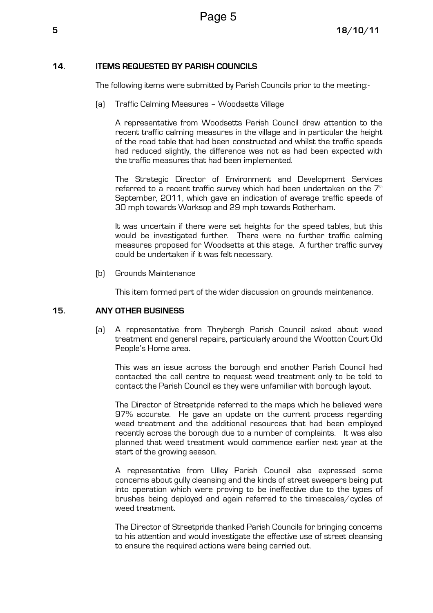## 14. ITEMS REQUESTED BY PARISH COUNCILS

The following items were submitted by Parish Councils prior to the meeting:-

(a) Traffic Calming Measures – Woodsetts Village

 A representative from Woodsetts Parish Council drew attention to the recent traffic calming measures in the village and in particular the height of the road table that had been constructed and whilst the traffic speeds had reduced slightly, the difference was not as had been expected with the traffic measures that had been implemented.

 The Strategic Director of Environment and Development Services referred to a recent traffic survey which had been undertaken on the  $7<sup>th</sup>$ September, 2011, which gave an indication of average traffic speeds of 30 mph towards Worksop and 29 mph towards Rotherham.

 It was uncertain if there were set heights for the speed tables, but this would be investigated further. There were no further traffic calming measures proposed for Woodsetts at this stage. A further traffic survey could be undertaken if it was felt necessary.

(b) Grounds Maintenance

This item formed part of the wider discussion on grounds maintenance.

### 15. ANY OTHER BUSINESS

(a) A representative from Thrybergh Parish Council asked about weed treatment and general repairs, particularly around the Wootton Court Old People's Home area.

This was an issue across the borough and another Parish Council had contacted the call centre to request weed treatment only to be told to contact the Parish Council as they were unfamiliar with borough layout.

The Director of Streetpride referred to the maps which he believed were 97% accurate. He gave an update on the current process regarding weed treatment and the additional resources that had been employed recently across the borough due to a number of complaints. It was also planned that weed treatment would commence earlier next year at the start of the growing season.

A representative from Ulley Parish Council also expressed some concerns about gully cleansing and the kinds of street sweepers being put into operation which were proving to be ineffective due to the types of brushes being deployed and again referred to the timescales/cycles of weed treatment.

The Director of Streetpride thanked Parish Councils for bringing concerns to his attention and would investigate the effective use of street cleansing to ensure the required actions were being carried out.